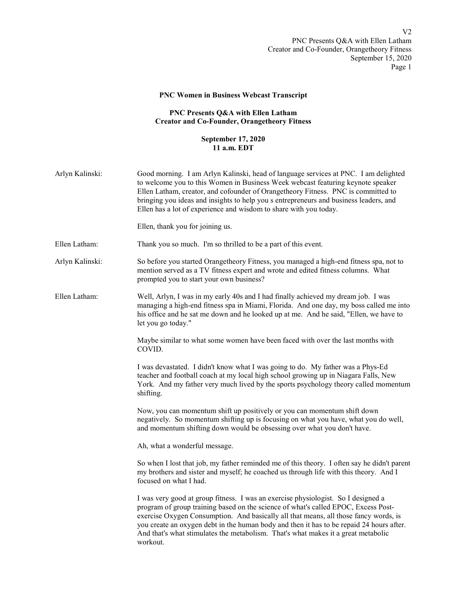## PNC Women in Business Webcast Transcript

## PNC Presents Q&A with Ellen Latham Creator and Co-Founder, Orangetheory Fitness

## September 17, 2020 11 a.m. EDT

| Arlyn Kalinski: | Good morning. I am Arlyn Kalinski, head of language services at PNC. I am delighted<br>to welcome you to this Women in Business Week webcast featuring keynote speaker<br>Ellen Latham, creator, and cofounder of Orangetheory Fitness. PNC is committed to<br>bringing you ideas and insights to help you s entrepreneurs and business leaders, and<br>Ellen has a lot of experience and wisdom to share with you today.<br>Ellen, thank you for joining us. |
|-----------------|---------------------------------------------------------------------------------------------------------------------------------------------------------------------------------------------------------------------------------------------------------------------------------------------------------------------------------------------------------------------------------------------------------------------------------------------------------------|
| Ellen Latham:   | Thank you so much. I'm so thrilled to be a part of this event.                                                                                                                                                                                                                                                                                                                                                                                                |
| Arlyn Kalinski: | So before you started Orangetheory Fitness, you managed a high-end fitness spa, not to<br>mention served as a TV fitness expert and wrote and edited fitness columns. What<br>prompted you to start your own business?                                                                                                                                                                                                                                        |
| Ellen Latham:   | Well, Arlyn, I was in my early 40s and I had finally achieved my dream job. I was<br>managing a high-end fitness spa in Miami, Florida. And one day, my boss called me into<br>his office and he sat me down and he looked up at me. And he said, "Ellen, we have to<br>let you go today."                                                                                                                                                                    |
|                 | Maybe similar to what some women have been faced with over the last months with<br>COVID.                                                                                                                                                                                                                                                                                                                                                                     |
|                 | I was devastated. I didn't know what I was going to do. My father was a Phys-Ed<br>teacher and football coach at my local high school growing up in Niagara Falls, New<br>York. And my father very much lived by the sports psychology theory called momentum<br>shifting.                                                                                                                                                                                    |
|                 | Now, you can momentum shift up positively or you can momentum shift down<br>negatively. So momentum shifting up is focusing on what you have, what you do well,<br>and momentum shifting down would be obsessing over what you don't have.                                                                                                                                                                                                                    |
|                 | Ah, what a wonderful message.                                                                                                                                                                                                                                                                                                                                                                                                                                 |
|                 | So when I lost that job, my father reminded me of this theory. I often say he didn't parent<br>my brothers and sister and myself; he coached us through life with this theory. And I<br>focused on what I had.                                                                                                                                                                                                                                                |
|                 | I was very good at group fitness. I was an exercise physiologist. So I designed a<br>program of group training based on the science of what's called EPOC, Excess Post-<br>exercise Oxygen Consumption. And basically all that means, all those fancy words, is<br>you create an oxygen debt in the human body and then it has to be repaid 24 hours after.<br>And that's what stimulates the metabolism. That's what makes it a great metabolic<br>workout.  |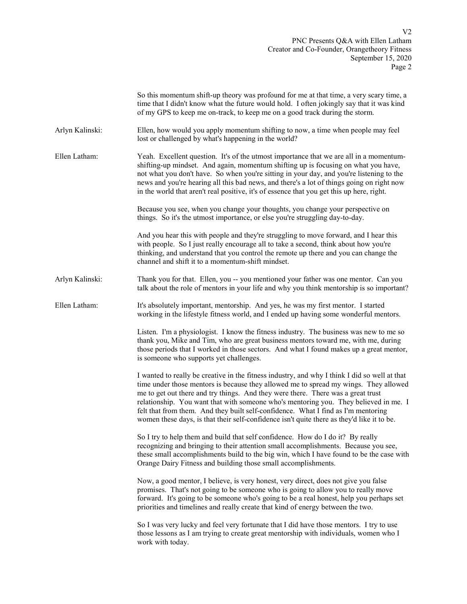|                 | So this momentum shift-up theory was profound for me at that time, a very scary time, a<br>time that I didn't know what the future would hold. I often jokingly say that it was kind<br>of my GPS to keep me on-track, to keep me on a good track during the storm.                                                                                                                                                                                                                                                                                  |
|-----------------|------------------------------------------------------------------------------------------------------------------------------------------------------------------------------------------------------------------------------------------------------------------------------------------------------------------------------------------------------------------------------------------------------------------------------------------------------------------------------------------------------------------------------------------------------|
| Arlyn Kalinski: | Ellen, how would you apply momentum shifting to now, a time when people may feel<br>lost or challenged by what's happening in the world?                                                                                                                                                                                                                                                                                                                                                                                                             |
| Ellen Latham:   | Yeah. Excellent question. It's of the utmost importance that we are all in a momentum-<br>shifting-up mindset. And again, momentum shifting up is focusing on what you have,<br>not what you don't have. So when you're sitting in your day, and you're listening to the<br>news and you're hearing all this bad news, and there's a lot of things going on right now<br>in the world that aren't real positive, it's of essence that you get this up here, right.                                                                                   |
|                 | Because you see, when you change your thoughts, you change your perspective on<br>things. So it's the utmost importance, or else you're struggling day-to-day.                                                                                                                                                                                                                                                                                                                                                                                       |
|                 | And you hear this with people and they're struggling to move forward, and I hear this<br>with people. So I just really encourage all to take a second, think about how you're<br>thinking, and understand that you control the remote up there and you can change the<br>channel and shift it to a momentum-shift mindset.                                                                                                                                                                                                                           |
| Arlyn Kalinski: | Thank you for that. Ellen, you -- you mentioned your father was one mentor. Can you<br>talk about the role of mentors in your life and why you think mentorship is so important?                                                                                                                                                                                                                                                                                                                                                                     |
| Ellen Latham:   | It's absolutely important, mentorship. And yes, he was my first mentor. I started<br>working in the lifestyle fitness world, and I ended up having some wonderful mentors.                                                                                                                                                                                                                                                                                                                                                                           |
|                 | Listen. I'm a physiologist. I know the fitness industry. The business was new to me so<br>thank you, Mike and Tim, who are great business mentors toward me, with me, during<br>those periods that I worked in those sectors. And what I found makes up a great mentor,<br>is someone who supports yet challenges.                                                                                                                                                                                                                                   |
|                 | I wanted to really be creative in the fitness industry, and why I think I did so well at that<br>time under those mentors is because they allowed me to spread my wings. They allowed<br>me to get out there and try things. And they were there. There was a great trust<br>relationship. You want that with someone who's mentoring you. They believed in me. I<br>felt that from them. And they built self-confidence. What I find as I'm mentoring<br>women these days, is that their self-confidence isn't quite there as they'd like it to be. |
|                 | So I try to help them and build that self confidence. How do I do it? By really<br>recognizing and bringing to their attention small accomplishments. Because you see,<br>these small accomplishments build to the big win, which I have found to be the case with<br>Orange Dairy Fitness and building those small accomplishments.                                                                                                                                                                                                                 |
|                 | Now, a good mentor, I believe, is very honest, very direct, does not give you false<br>promises. That's not going to be someone who is going to allow you to really move<br>forward. It's going to be someone who's going to be a real honest, help you perhaps set<br>priorities and timelines and really create that kind of energy between the two.                                                                                                                                                                                               |
|                 | So I was very lucky and feel very fortunate that I did have those mentors. I try to use<br>those lessons as I am trying to create great mentorship with individuals, women who I<br>work with today.                                                                                                                                                                                                                                                                                                                                                 |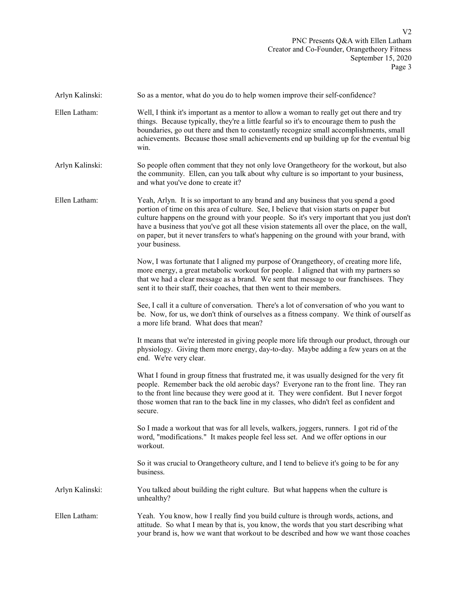| Arlyn Kalinski: | So as a mentor, what do you do to help women improve their self-confidence?                                                                                                                                                                                                                                                                                                                                                                                                                |
|-----------------|--------------------------------------------------------------------------------------------------------------------------------------------------------------------------------------------------------------------------------------------------------------------------------------------------------------------------------------------------------------------------------------------------------------------------------------------------------------------------------------------|
| Ellen Latham:   | Well, I think it's important as a mentor to allow a woman to really get out there and try<br>things. Because typically, they're a little fearful so it's to encourage them to push the<br>boundaries, go out there and then to constantly recognize small accomplishments, small<br>achievements. Because those small achievements end up building up for the eventual big<br>win.                                                                                                         |
| Arlyn Kalinski: | So people often comment that they not only love Orangetheory for the workout, but also<br>the community. Ellen, can you talk about why culture is so important to your business,<br>and what you've done to create it?                                                                                                                                                                                                                                                                     |
| Ellen Latham:   | Yeah, Arlyn. It is so important to any brand and any business that you spend a good<br>portion of time on this area of culture. See, I believe that vision starts on paper but<br>culture happens on the ground with your people. So it's very important that you just don't<br>have a business that you've got all these vision statements all over the place, on the wall,<br>on paper, but it never transfers to what's happening on the ground with your brand, with<br>your business. |
|                 | Now, I was fortunate that I aligned my purpose of Orangetheory, of creating more life,<br>more energy, a great metabolic workout for people. I aligned that with my partners so<br>that we had a clear message as a brand. We sent that message to our franchisees. They<br>sent it to their staff, their coaches, that then went to their members.                                                                                                                                        |
|                 | See, I call it a culture of conversation. There's a lot of conversation of who you want to<br>be. Now, for us, we don't think of ourselves as a fitness company. We think of ourself as<br>a more life brand. What does that mean?                                                                                                                                                                                                                                                         |
|                 | It means that we're interested in giving people more life through our product, through our<br>physiology. Giving them more energy, day-to-day. Maybe adding a few years on at the<br>end. We're very clear.                                                                                                                                                                                                                                                                                |
|                 | What I found in group fitness that frustrated me, it was usually designed for the very fit<br>people. Remember back the old aerobic days? Everyone ran to the front line. They ran<br>to the front line because they were good at it. They were confident. But I never forgot<br>those women that ran to the back line in my classes, who didn't feel as confident and<br>secure.                                                                                                          |
|                 | So I made a workout that was for all levels, walkers, joggers, runners. I got rid of the<br>word, "modifications." It makes people feel less set. And we offer options in our<br>workout.                                                                                                                                                                                                                                                                                                  |
|                 | So it was crucial to Orangetheory culture, and I tend to believe it's going to be for any<br>business.                                                                                                                                                                                                                                                                                                                                                                                     |
| Arlyn Kalinski: | You talked about building the right culture. But what happens when the culture is<br>unhealthy?                                                                                                                                                                                                                                                                                                                                                                                            |
| Ellen Latham:   | Yeah. You know, how I really find you build culture is through words, actions, and<br>attitude. So what I mean by that is, you know, the words that you start describing what<br>your brand is, how we want that workout to be described and how we want those coaches                                                                                                                                                                                                                     |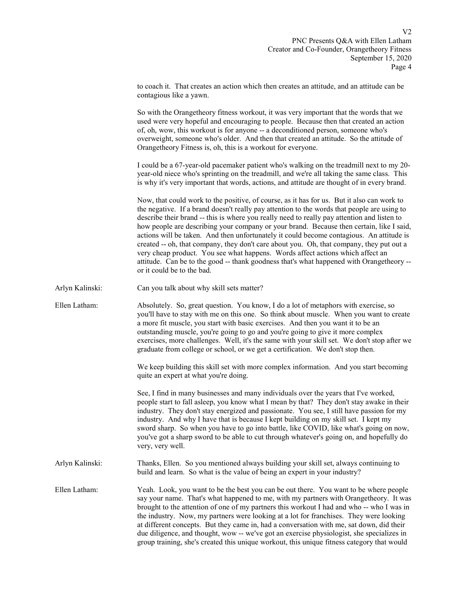|                         |  |  | to coach it. That creates an action which then creates an attitude, and an attitude can be |  |
|-------------------------|--|--|--------------------------------------------------------------------------------------------|--|
| contagious like a yawn. |  |  |                                                                                            |  |

 So with the Orangetheory fitness workout, it was very important that the words that we used were very hopeful and encouraging to people. Because then that created an action of, oh, wow, this workout is for anyone -- a deconditioned person, someone who's overweight, someone who's older. And then that created an attitude. So the attitude of Orangetheory Fitness is, oh, this is a workout for everyone.

 I could be a 67-year-old pacemaker patient who's walking on the treadmill next to my 20 year-old niece who's sprinting on the treadmill, and we're all taking the same class. This is why it's very important that words, actions, and attitude are thought of in every brand.

 Now, that could work to the positive, of course, as it has for us. But it also can work to the negative. If a brand doesn't really pay attention to the words that people are using to describe their brand -- this is where you really need to really pay attention and listen to how people are describing your company or your brand. Because then certain, like I said, actions will be taken. And then unfortunately it could become contagious. An attitude is created -- oh, that company, they don't care about you. Oh, that company, they put out a very cheap product. You see what happens. Words affect actions which affect an attitude. Can be to the good -- thank goodness that's what happened with Orangetheory - or it could be to the bad.

Arlyn Kalinski: Can you talk about why skill sets matter?

Ellen Latham: Absolutely. So, great question. You know, I do a lot of metaphors with exercise, so you'll have to stay with me on this one. So think about muscle. When you want to create a more fit muscle, you start with basic exercises. And then you want it to be an outstanding muscle, you're going to go and you're going to give it more complex exercises, more challenges. Well, it's the same with your skill set. We don't stop after we graduate from college or school, or we get a certification. We don't stop then.

> We keep building this skill set with more complex information. And you start becoming quite an expert at what you're doing.

> See, I find in many businesses and many individuals over the years that I've worked, people start to fall asleep, you know what I mean by that? They don't stay awake in their industry. They don't stay energized and passionate. You see, I still have passion for my industry. And why I have that is because I kept building on my skill set. I kept my sword sharp. So when you have to go into battle, like COVID, like what's going on now, you've got a sharp sword to be able to cut through whatever's going on, and hopefully do very, very well.

Arlyn Kalinski: Thanks, Ellen. So you mentioned always building your skill set, always continuing to build and learn. So what is the value of being an expert in your industry?

Ellen Latham: Yeah. Look, you want to be the best you can be out there. You want to be where people say your name. That's what happened to me, with my partners with Orangetheory. It was brought to the attention of one of my partners this workout I had and who -- who I was in the industry. Now, my partners were looking at a lot for franchises. They were looking at different concepts. But they came in, had a conversation with me, sat down, did their due diligence, and thought, wow -- we've got an exercise physiologist, she specializes in group training, she's created this unique workout, this unique fitness category that would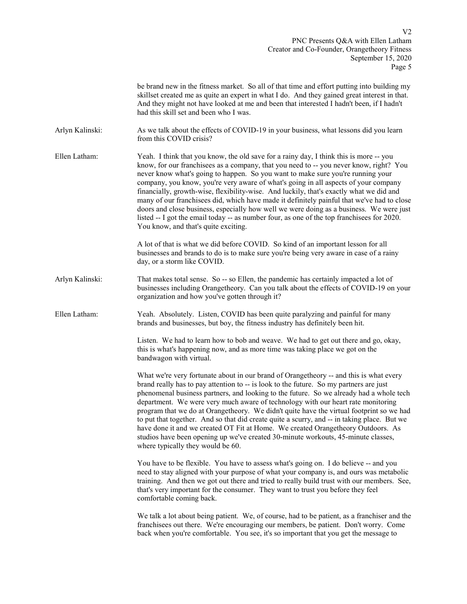PNC Presents Q&A with Ellen Latham Creator and Co-Founder, Orangetheory Fitness September 15, 2020 Page 5

|                 | be brand new in the fitness market. So all of that time and effort putting into building my<br>skillset created me as quite an expert in what I do. And they gained great interest in that.<br>And they might not have looked at me and been that interested I hadn't been, if I hadn't<br>had this skill set and been who I was.                                                                                                                                                                                                                                                                                                                                                                                                                                                    |
|-----------------|--------------------------------------------------------------------------------------------------------------------------------------------------------------------------------------------------------------------------------------------------------------------------------------------------------------------------------------------------------------------------------------------------------------------------------------------------------------------------------------------------------------------------------------------------------------------------------------------------------------------------------------------------------------------------------------------------------------------------------------------------------------------------------------|
| Arlyn Kalinski: | As we talk about the effects of COVID-19 in your business, what lessons did you learn<br>from this COVID crisis?                                                                                                                                                                                                                                                                                                                                                                                                                                                                                                                                                                                                                                                                     |
| Ellen Latham:   | Yeah. I think that you know, the old save for a rainy day, I think this is more -- you<br>know, for our franchisees as a company, that you need to -- you never know, right? You<br>never know what's going to happen. So you want to make sure you're running your<br>company, you know, you're very aware of what's going in all aspects of your company<br>financially, growth-wise, flexibility-wise. And luckily, that's exactly what we did and<br>many of our franchisees did, which have made it definitely painful that we've had to close<br>doors and close business, especially how well we were doing as a business. We were just<br>listed -- I got the email today -- as number four, as one of the top franchisees for 2020.<br>You know, and that's quite exciting. |
|                 | A lot of that is what we did before COVID. So kind of an important lesson for all<br>businesses and brands to do is to make sure you're being very aware in case of a rainy<br>day, or a storm like COVID.                                                                                                                                                                                                                                                                                                                                                                                                                                                                                                                                                                           |
| Arlyn Kalinski: | That makes total sense. So -- so Ellen, the pandemic has certainly impacted a lot of<br>businesses including Orangetheory. Can you talk about the effects of COVID-19 on your<br>organization and how you've gotten through it?                                                                                                                                                                                                                                                                                                                                                                                                                                                                                                                                                      |
| Ellen Latham:   | Yeah. Absolutely. Listen, COVID has been quite paralyzing and painful for many<br>brands and businesses, but boy, the fitness industry has definitely been hit.                                                                                                                                                                                                                                                                                                                                                                                                                                                                                                                                                                                                                      |
|                 | Listen. We had to learn how to bob and weave. We had to get out there and go, okay,<br>this is what's happening now, and as more time was taking place we got on the<br>bandwagon with virtual.                                                                                                                                                                                                                                                                                                                                                                                                                                                                                                                                                                                      |
|                 | What we're very fortunate about in our brand of Orangetheory -- and this is what every<br>brand really has to pay attention to -- is look to the future. So my partners are just<br>phenomenal business partners, and looking to the future. So we already had a whole tech<br>department. We were very much aware of technology with our heart rate monitoring<br>program that we do at Orangetheory. We didn't quite have the virtual footprint so we had<br>to put that together. And so that did create quite a scurry, and -- in taking place. But we<br>have done it and we created OT Fit at Home. We created Orangetheory Outdoors. As<br>studios have been opening up we've created 30-minute workouts, 45-minute classes,<br>where typically they would be 60.             |
|                 | You have to be flexible. You have to assess what's going on. I do believe -- and you<br>need to stay aligned with your purpose of what your company is, and ours was metabolic<br>training. And then we got out there and tried to really build trust with our members. See,<br>that's very important for the consumer. They want to trust you before they feel<br>comfortable coming back.                                                                                                                                                                                                                                                                                                                                                                                          |
|                 | We talk a lot about being patient. We, of course, had to be patient, as a franchiser and the<br>franchisees out there. We're encouraging our members, be patient. Don't worry. Come<br>back when you're comfortable. You see, it's so important that you get the message to                                                                                                                                                                                                                                                                                                                                                                                                                                                                                                          |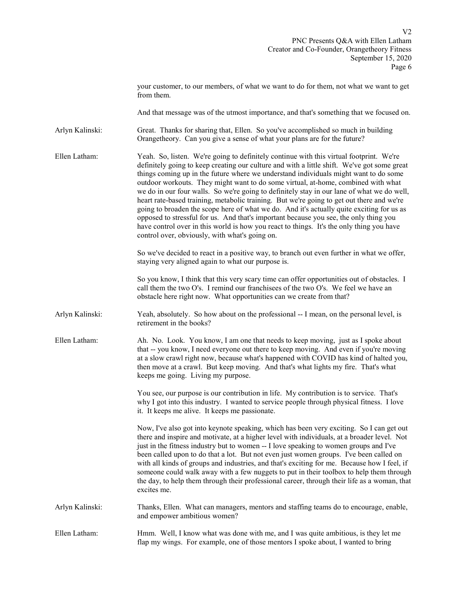|                 | your customer, to our members, of what we want to do for them, not what we want to get<br>from them.                                                                                                                                                                                                                                                                                                                                                                                                                                                                                                                                                                                                                                                                                                                                                                                               |
|-----------------|----------------------------------------------------------------------------------------------------------------------------------------------------------------------------------------------------------------------------------------------------------------------------------------------------------------------------------------------------------------------------------------------------------------------------------------------------------------------------------------------------------------------------------------------------------------------------------------------------------------------------------------------------------------------------------------------------------------------------------------------------------------------------------------------------------------------------------------------------------------------------------------------------|
|                 | And that message was of the utmost importance, and that's something that we focused on.                                                                                                                                                                                                                                                                                                                                                                                                                                                                                                                                                                                                                                                                                                                                                                                                            |
| Arlyn Kalinski: | Great. Thanks for sharing that, Ellen. So you've accomplished so much in building<br>Orangetheory. Can you give a sense of what your plans are for the future?                                                                                                                                                                                                                                                                                                                                                                                                                                                                                                                                                                                                                                                                                                                                     |
| Ellen Latham:   | Yeah. So, listen. We're going to definitely continue with this virtual footprint. We're<br>definitely going to keep creating our culture and with a little shift. We've got some great<br>things coming up in the future where we understand individuals might want to do some<br>outdoor workouts. They might want to do some virtual, at-home, combined with what<br>we do in our four walls. So we're going to definitely stay in our lane of what we do well,<br>heart rate-based training, metabolic training. But we're going to get out there and we're<br>going to broaden the scope here of what we do. And it's actually quite exciting for us as<br>opposed to stressful for us. And that's important because you see, the only thing you<br>have control over in this world is how you react to things. It's the only thing you have<br>control over, obviously, with what's going on. |
|                 | So we've decided to react in a positive way, to branch out even further in what we offer,<br>staying very aligned again to what our purpose is.                                                                                                                                                                                                                                                                                                                                                                                                                                                                                                                                                                                                                                                                                                                                                    |
|                 | So you know, I think that this very scary time can offer opportunities out of obstacles. I<br>call them the two O's. I remind our franchisees of the two O's. We feel we have an<br>obstacle here right now. What opportunities can we create from that?                                                                                                                                                                                                                                                                                                                                                                                                                                                                                                                                                                                                                                           |
| Arlyn Kalinski: | Yeah, absolutely. So how about on the professional -- I mean, on the personal level, is<br>retirement in the books?                                                                                                                                                                                                                                                                                                                                                                                                                                                                                                                                                                                                                                                                                                                                                                                |
| Ellen Latham:   | Ah. No. Look. You know, I am one that needs to keep moving, just as I spoke about<br>that -- you know, I need everyone out there to keep moving. And even if you're moving<br>at a slow crawl right now, because what's happened with COVID has kind of halted you,<br>then move at a crawl. But keep moving. And that's what lights my fire. That's what<br>keeps me going. Living my purpose.                                                                                                                                                                                                                                                                                                                                                                                                                                                                                                    |
|                 | You see, our purpose is our contribution in life. My contribution is to service. That's<br>why I got into this industry. I wanted to service people through physical fitness. I love<br>it. It keeps me alive. It keeps me passionate.                                                                                                                                                                                                                                                                                                                                                                                                                                                                                                                                                                                                                                                             |
|                 | Now, I've also got into keynote speaking, which has been very exciting. So I can get out<br>there and inspire and motivate, at a higher level with individuals, at a broader level. Not<br>just in the fitness industry but to women -- I love speaking to women groups and I've<br>been called upon to do that a lot. But not even just women groups. I've been called on<br>with all kinds of groups and industries, and that's exciting for me. Because how I feel, if<br>someone could walk away with a few nuggets to put in their toolbox to help them through<br>the day, to help them through their professional career, through their life as a woman, that<br>excites me.                                                                                                                                                                                                                |
| Arlyn Kalinski: | Thanks, Ellen. What can managers, mentors and staffing teams do to encourage, enable,<br>and empower ambitious women?                                                                                                                                                                                                                                                                                                                                                                                                                                                                                                                                                                                                                                                                                                                                                                              |
| Ellen Latham:   | Hmm. Well, I know what was done with me, and I was quite ambitious, is they let me<br>flap my wings. For example, one of those mentors I spoke about, I wanted to bring                                                                                                                                                                                                                                                                                                                                                                                                                                                                                                                                                                                                                                                                                                                            |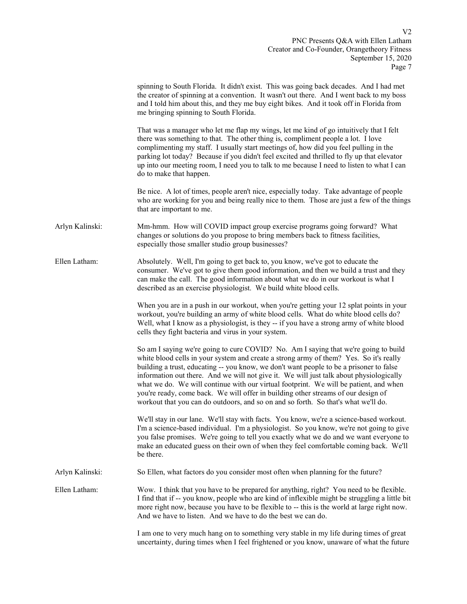|                 | spinning to South Florida. It didn't exist. This was going back decades. And I had met<br>the creator of spinning at a convention. It wasn't out there. And I went back to my boss<br>and I told him about this, and they me buy eight bikes. And it took off in Florida from<br>me bringing spinning to South Florida.                                                                                                                                                                                                                                                                                                                 |
|-----------------|-----------------------------------------------------------------------------------------------------------------------------------------------------------------------------------------------------------------------------------------------------------------------------------------------------------------------------------------------------------------------------------------------------------------------------------------------------------------------------------------------------------------------------------------------------------------------------------------------------------------------------------------|
|                 | That was a manager who let me flap my wings, let me kind of go intuitively that I felt<br>there was something to that. The other thing is, compliment people a lot. I love<br>complimenting my staff. I usually start meetings of, how did you feel pulling in the<br>parking lot today? Because if you didn't feel excited and thrilled to fly up that elevator<br>up into our meeting room, I need you to talk to me because I need to listen to what I can<br>do to make that happen.                                                                                                                                                |
|                 | Be nice. A lot of times, people aren't nice, especially today. Take advantage of people<br>who are working for you and being really nice to them. Those are just a few of the things<br>that are important to me.                                                                                                                                                                                                                                                                                                                                                                                                                       |
| Arlyn Kalinski: | Mm-hmm. How will COVID impact group exercise programs going forward? What<br>changes or solutions do you propose to bring members back to fitness facilities,<br>especially those smaller studio group businesses?                                                                                                                                                                                                                                                                                                                                                                                                                      |
| Ellen Latham:   | Absolutely. Well, I'm going to get back to, you know, we've got to educate the<br>consumer. We've got to give them good information, and then we build a trust and they<br>can make the call. The good information about what we do in our workout is what I<br>described as an exercise physiologist. We build white blood cells.                                                                                                                                                                                                                                                                                                      |
|                 | When you are in a push in our workout, when you're getting your 12 splat points in your<br>workout, you're building an army of white blood cells. What do white blood cells do?<br>Well, what I know as a physiologist, is they -- if you have a strong army of white blood<br>cells they fight bacteria and virus in your system.                                                                                                                                                                                                                                                                                                      |
|                 | So am I saying we're going to cure COVID? No. Am I saying that we're going to build<br>white blood cells in your system and create a strong army of them? Yes. So it's really<br>building a trust, educating -- you know, we don't want people to be a prisoner to false<br>information out there. And we will not give it. We will just talk about physiologically<br>what we do. We will continue with our virtual footprint. We will be patient, and when<br>you're ready, come back. We will offer in building other streams of our design of<br>workout that you can do outdoors, and so on and so forth. So that's what we'll do. |
|                 | We'll stay in our lane. We'll stay with facts. You know, we're a science-based workout.<br>I'm a science-based individual. I'm a physiologist. So you know, we're not going to give<br>you false promises. We're going to tell you exactly what we do and we want everyone to<br>make an educated guess on their own of when they feel comfortable coming back. We'll<br>be there.                                                                                                                                                                                                                                                      |
| Arlyn Kalinski: | So Ellen, what factors do you consider most often when planning for the future?                                                                                                                                                                                                                                                                                                                                                                                                                                                                                                                                                         |
| Ellen Latham:   | Wow. I think that you have to be prepared for anything, right? You need to be flexible.<br>I find that if -- you know, people who are kind of inflexible might be struggling a little bit<br>more right now, because you have to be flexible to -- this is the world at large right now.<br>And we have to listen. And we have to do the best we can do.                                                                                                                                                                                                                                                                                |
|                 | I am one to very much hang on to something very stable in my life during times of great<br>uncertainty, during times when I feel frightened or you know, unaware of what the future                                                                                                                                                                                                                                                                                                                                                                                                                                                     |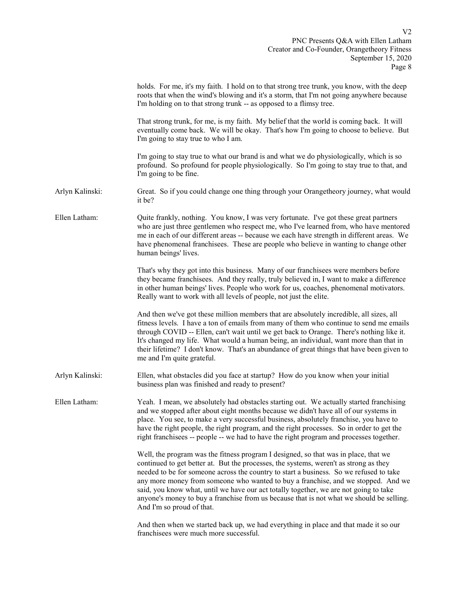|                 | holds. For me, it's my faith. I hold on to that strong tree trunk, you know, with the deep<br>roots that when the wind's blowing and it's a storm, that I'm not going anywhere because<br>I'm holding on to that strong trunk -- as opposed to a flimsy tree.                                                                                                                                                                                                                                                                                                                 |
|-----------------|-------------------------------------------------------------------------------------------------------------------------------------------------------------------------------------------------------------------------------------------------------------------------------------------------------------------------------------------------------------------------------------------------------------------------------------------------------------------------------------------------------------------------------------------------------------------------------|
|                 | That strong trunk, for me, is my faith. My belief that the world is coming back. It will<br>eventually come back. We will be okay. That's how I'm going to choose to believe. But<br>I'm going to stay true to who I am.                                                                                                                                                                                                                                                                                                                                                      |
|                 | I'm going to stay true to what our brand is and what we do physiologically, which is so<br>profound. So profound for people physiologically. So I'm going to stay true to that, and<br>I'm going to be fine.                                                                                                                                                                                                                                                                                                                                                                  |
| Arlyn Kalinski: | Great. So if you could change one thing through your Orangetheory journey, what would<br>it be?                                                                                                                                                                                                                                                                                                                                                                                                                                                                               |
| Ellen Latham:   | Quite frankly, nothing. You know, I was very fortunate. I've got these great partners<br>who are just three gentlemen who respect me, who I've learned from, who have mentored<br>me in each of our different areas -- because we each have strength in different areas. We<br>have phenomenal franchisees. These are people who believe in wanting to change other<br>human beings' lives.                                                                                                                                                                                   |
|                 | That's why they got into this business. Many of our franchisees were members before<br>they became franchisees. And they really, truly believed in, I want to make a difference<br>in other human beings' lives. People who work for us, coaches, phenomenal motivators.<br>Really want to work with all levels of people, not just the elite.                                                                                                                                                                                                                                |
|                 | And then we've got these million members that are absolutely incredible, all sizes, all<br>fitness levels. I have a ton of emails from many of them who continue to send me emails<br>through COVID -- Ellen, can't wait until we get back to Orange. There's nothing like it.<br>It's changed my life. What would a human being, an individual, want more than that in<br>their lifetime? I don't know. That's an abundance of great things that have been given to<br>me and I'm quite grateful.                                                                            |
| Arlyn Kalinski: | Ellen, what obstacles did you face at startup? How do you know when your initial<br>business plan was finished and ready to present?                                                                                                                                                                                                                                                                                                                                                                                                                                          |
| Ellen Latham:   | Yeah. I mean, we absolutely had obstacles starting out. We actually started franchising<br>and we stopped after about eight months because we didn't have all of our systems in<br>place. You see, to make a very successful business, absolutely franchise, you have to<br>have the right people, the right program, and the right processes. So in order to get the<br>right franchisees -- people -- we had to have the right program and processes together.                                                                                                              |
|                 | Well, the program was the fitness program I designed, so that was in place, that we<br>continued to get better at. But the processes, the systems, weren't as strong as they<br>needed to be for someone across the country to start a business. So we refused to take<br>any more money from someone who wanted to buy a franchise, and we stopped. And we<br>said, you know what, until we have our act totally together, we are not going to take<br>anyone's money to buy a franchise from us because that is not what we should be selling.<br>And I'm so proud of that. |
|                 | And then when we started back up, we had everything in place and that made it so our<br>franchisees were much more successful.                                                                                                                                                                                                                                                                                                                                                                                                                                                |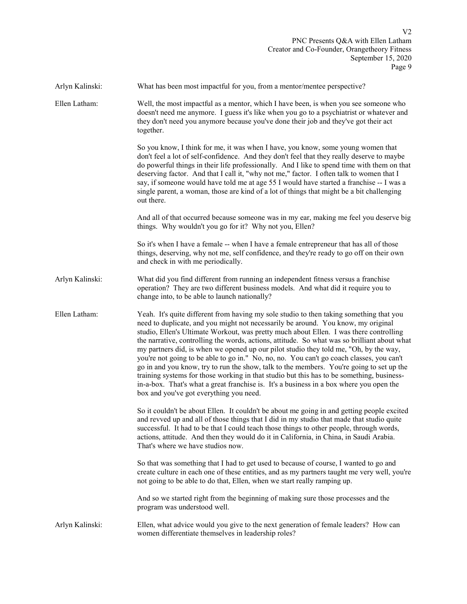Arlyn Kalinski: What has been most impactful for you, from a mentor/mentee perspective?

Ellen Latham: Well, the most impactful as a mentor, which I have been, is when you see someone who doesn't need me anymore. I guess it's like when you go to a psychiatrist or whatever and they don't need you anymore because you've done their job and they've got their act together.

> So you know, I think for me, it was when I have, you know, some young women that don't feel a lot of self-confidence. And they don't feel that they really deserve to maybe do powerful things in their life professionally. And I like to spend time with them on that deserving factor. And that I call it, "why not me," factor. I often talk to women that I say, if someone would have told me at age 55 I would have started a franchise -- I was a single parent, a woman, those are kind of a lot of things that might be a bit challenging out there.

> And all of that occurred because someone was in my ear, making me feel you deserve big things. Why wouldn't you go for it? Why not you, Ellen?

 So it's when I have a female -- when I have a female entrepreneur that has all of those things, deserving, why not me, self confidence, and they're ready to go off on their own and check in with me periodically.

Arlyn Kalinski: What did you find different from running an independent fitness versus a franchise operation? They are two different business models. And what did it require you to change into, to be able to launch nationally?

Ellen Latham: Yeah. It's quite different from having my sole studio to then taking something that you need to duplicate, and you might not necessarily be around. You know, my original studio, Ellen's Ultimate Workout, was pretty much about Ellen. I was there controlling the narrative, controlling the words, actions, attitude. So what was so brilliant about what my partners did, is when we opened up our pilot studio they told me, "Oh, by the way, you're not going to be able to go in." No, no, no. You can't go coach classes, you can't go in and you know, try to run the show, talk to the members. You're going to set up the training systems for those working in that studio but this has to be something, businessin-a-box. That's what a great franchise is. It's a business in a box where you open the box and you've got everything you need.

> So it couldn't be about Ellen. It couldn't be about me going in and getting people excited and revved up and all of those things that I did in my studio that made that studio quite successful. It had to be that I could teach those things to other people, through words, actions, attitude. And then they would do it in California, in China, in Saudi Arabia. That's where we have studios now.

> So that was something that I had to get used to because of course, I wanted to go and create culture in each one of these entities, and as my partners taught me very well, you're not going to be able to do that, Ellen, when we start really ramping up.

 And so we started right from the beginning of making sure those processes and the program was understood well.

Arlyn Kalinski: Ellen, what advice would you give to the next generation of female leaders? How can women differentiate themselves in leadership roles?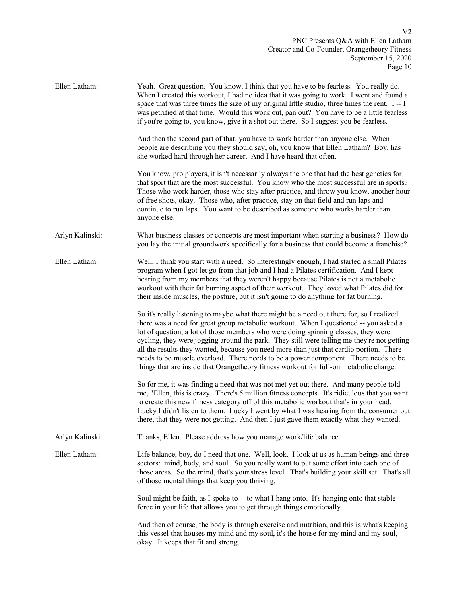PNC Presents Q&A with Ellen Latham Creator and Co-Founder, Orangetheory Fitness September 15, 2020 Page 10

| Ellen Latham:   | Yeah. Great question. You know, I think that you have to be fearless. You really do.<br>When I created this workout, I had no idea that it was going to work. I went and found a<br>space that was three times the size of my original little studio, three times the rent. I--I<br>was petrified at that time. Would this work out, pan out? You have to be a little fearless<br>if you're going to, you know, give it a shot out there. So I suggest you be fearless.                                                                                                                                                                           |
|-----------------|---------------------------------------------------------------------------------------------------------------------------------------------------------------------------------------------------------------------------------------------------------------------------------------------------------------------------------------------------------------------------------------------------------------------------------------------------------------------------------------------------------------------------------------------------------------------------------------------------------------------------------------------------|
|                 | And then the second part of that, you have to work harder than anyone else. When<br>people are describing you they should say, oh, you know that Ellen Latham? Boy, has<br>she worked hard through her career. And I have heard that often.                                                                                                                                                                                                                                                                                                                                                                                                       |
|                 | You know, pro players, it isn't necessarily always the one that had the best genetics for<br>that sport that are the most successful. You know who the most successful are in sports?<br>Those who work harder, those who stay after practice, and throw you know, another hour<br>of free shots, okay. Those who, after practice, stay on that field and run laps and<br>continue to run laps. You want to be described as someone who works harder than<br>anyone else.                                                                                                                                                                         |
| Arlyn Kalinski: | What business classes or concepts are most important when starting a business? How do<br>you lay the initial groundwork specifically for a business that could become a franchise?                                                                                                                                                                                                                                                                                                                                                                                                                                                                |
| Ellen Latham:   | Well, I think you start with a need. So interestingly enough, I had started a small Pilates<br>program when I got let go from that job and I had a Pilates certification. And I kept<br>hearing from my members that they weren't happy because Pilates is not a metabolic<br>workout with their fat burning aspect of their workout. They loved what Pilates did for<br>their inside muscles, the posture, but it isn't going to do anything for fat burning.                                                                                                                                                                                    |
|                 | So it's really listening to maybe what there might be a need out there for, so I realized<br>there was a need for great group metabolic workout. When I questioned -- you asked a<br>lot of question, a lot of those members who were doing spinning classes, they were<br>cycling, they were jogging around the park. They still were telling me they're not getting<br>all the results they wanted, because you need more than just that cardio portion. There<br>needs to be muscle overload. There needs to be a power component. There needs to be<br>things that are inside that Orangetheory fitness workout for full-on metabolic charge. |
|                 | So for me, it was finding a need that was not met yet out there. And many people told<br>me, "Ellen, this is crazy. There's 5 million fitness concepts. It's ridiculous that you want<br>to create this new fitness category off of this metabolic workout that's in your head.<br>Lucky I didn't listen to them. Lucky I went by what I was hearing from the consumer out<br>there, that they were not getting. And then I just gave them exactly what they wanted.                                                                                                                                                                              |
| Arlyn Kalinski: | Thanks, Ellen. Please address how you manage work/life balance.                                                                                                                                                                                                                                                                                                                                                                                                                                                                                                                                                                                   |
| Ellen Latham:   | Life balance, boy, do I need that one. Well, look. I look at us as human beings and three<br>sectors: mind, body, and soul. So you really want to put some effort into each one of<br>those areas. So the mind, that's your stress level. That's building your skill set. That's all<br>of those mental things that keep you thriving.                                                                                                                                                                                                                                                                                                            |
|                 | Soul might be faith, as I spoke to -- to what I hang onto. It's hanging onto that stable<br>force in your life that allows you to get through things emotionally.                                                                                                                                                                                                                                                                                                                                                                                                                                                                                 |
|                 | And then of course, the body is through exercise and nutrition, and this is what's keeping<br>this vessel that houses my mind and my soul, it's the house for my mind and my soul,<br>okay. It keeps that fit and strong.                                                                                                                                                                                                                                                                                                                                                                                                                         |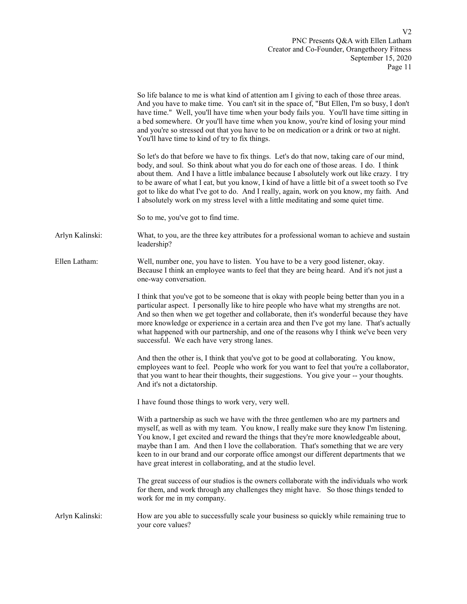|                 | So life balance to me is what kind of attention am I giving to each of those three areas.<br>And you have to make time. You can't sit in the space of, "But Ellen, I'm so busy, I don't<br>have time." Well, you'll have time when your body fails you. You'll have time sitting in<br>a bed somewhere. Or you'll have time when you know, you're kind of losing your mind<br>and you're so stressed out that you have to be on medication or a drink or two at night.<br>You'll have time to kind of try to fix things.                                            |
|-----------------|---------------------------------------------------------------------------------------------------------------------------------------------------------------------------------------------------------------------------------------------------------------------------------------------------------------------------------------------------------------------------------------------------------------------------------------------------------------------------------------------------------------------------------------------------------------------|
|                 | So let's do that before we have to fix things. Let's do that now, taking care of our mind,<br>body, and soul. So think about what you do for each one of those areas. I do. I think<br>about them. And I have a little imbalance because I absolutely work out like crazy. I try<br>to be aware of what I eat, but you know, I kind of have a little bit of a sweet tooth so I've<br>got to like do what I've got to do. And I really, again, work on you know, my faith. And<br>I absolutely work on my stress level with a little meditating and some quiet time. |
|                 | So to me, you've got to find time.                                                                                                                                                                                                                                                                                                                                                                                                                                                                                                                                  |
| Arlyn Kalinski: | What, to you, are the three key attributes for a professional woman to achieve and sustain<br>leadership?                                                                                                                                                                                                                                                                                                                                                                                                                                                           |
| Ellen Latham:   | Well, number one, you have to listen. You have to be a very good listener, okay.<br>Because I think an employee wants to feel that they are being heard. And it's not just a<br>one-way conversation.                                                                                                                                                                                                                                                                                                                                                               |
|                 | I think that you've got to be someone that is okay with people being better than you in a<br>particular aspect. I personally like to hire people who have what my strengths are not.<br>And so then when we get together and collaborate, then it's wonderful because they have<br>more knowledge or experience in a certain area and then I've got my lane. That's actually<br>what happened with our partnership, and one of the reasons why I think we've been very<br>successful. We each have very strong lanes.                                               |
|                 | And then the other is, I think that you've got to be good at collaborating. You know,<br>employees want to feel. People who work for you want to feel that you're a collaborator,<br>that you want to hear their thoughts, their suggestions. You give your -- your thoughts.<br>And it's not a dictatorship.                                                                                                                                                                                                                                                       |
|                 | I have found those things to work very, very well.                                                                                                                                                                                                                                                                                                                                                                                                                                                                                                                  |
|                 | With a partnership as such we have with the three gentlemen who are my partners and<br>myself, as well as with my team. You know, I really make sure they know I'm listening.<br>You know, I get excited and reward the things that they're more knowledgeable about,<br>maybe than I am. And then I love the collaboration. That's something that we are very<br>keen to in our brand and our corporate office amongst our different departments that we<br>have great interest in collaborating, and at the studio level.                                         |
|                 | The great success of our studios is the owners collaborate with the individuals who work<br>for them, and work through any challenges they might have. So those things tended to<br>work for me in my company.                                                                                                                                                                                                                                                                                                                                                      |
| Arlyn Kalinski: | How are you able to successfully scale your business so quickly while remaining true to<br>your core values?                                                                                                                                                                                                                                                                                                                                                                                                                                                        |